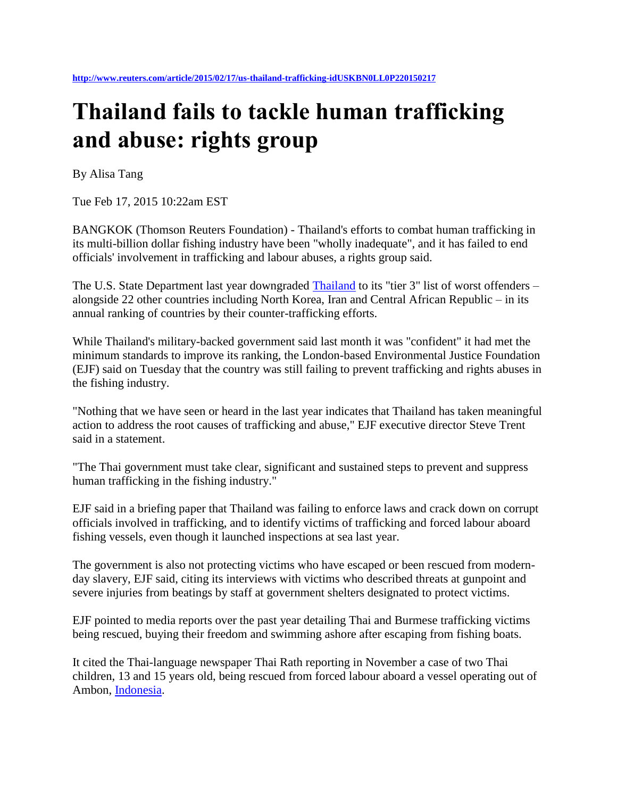## **Thailand fails to tackle human trafficking and abuse: rights group**

By Alisa Tang

Tue Feb 17, 2015 10:22am EST

BANGKOK (Thomson Reuters Foundation) - Thailand's efforts to combat human trafficking in its multi-billion dollar fishing industry have been "wholly inadequate", and it has failed to end officials' involvement in trafficking and labour abuses, a rights group said.

The U.S. State Department last year downgraded [Thailand](http://bit.ly/1stZ7M3) to its "tier 3" list of worst offenders – alongside 22 other countries including North Korea, Iran and Central African Republic – in its annual ranking of countries by their counter-trafficking efforts.

While Thailand's military-backed government said last month it was "confident" it had met the minimum standards to improve its ranking, the London-based Environmental Justice Foundation (EJF) said on Tuesday that the country was still failing to prevent trafficking and rights abuses in the fishing industry.

"Nothing that we have seen or heard in the last year indicates that Thailand has taken meaningful action to address the root causes of trafficking and abuse," EJF executive director Steve Trent said in a statement.

"The Thai government must take clear, significant and sustained steps to prevent and suppress human trafficking in the fishing industry."

EJF said in a briefing paper that Thailand was failing to enforce laws and crack down on corrupt officials involved in trafficking, and to identify victims of trafficking and forced labour aboard fishing vessels, even though it launched inspections at sea last year.

The government is also not protecting victims who have escaped or been rescued from modernday slavery, EJF said, citing its interviews with victims who described threats at gunpoint and severe injuries from beatings by staff at government shelters designated to protect victims.

EJF pointed to media reports over the past year detailing Thai and Burmese trafficking victims being rescued, buying their freedom and swimming ashore after escaping from fishing boats.

It cited the Thai-language newspaper Thai Rath reporting in November a case of two Thai children, 13 and 15 years old, being rescued from forced labour aboard a vessel operating out of Ambon, [Indonesia.](http://bit.ly/1svUxmj)